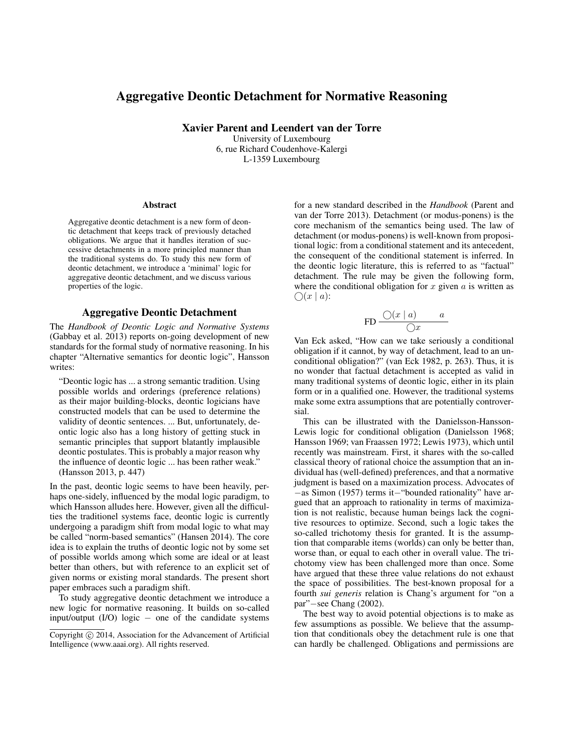# Aggregative Deontic Detachment for Normative Reasoning

Xavier Parent and Leendert van der Torre

University of Luxembourg 6, rue Richard Coudenhove-Kalergi L-1359 Luxembourg

#### **Abstract**

Aggregative deontic detachment is a new form of deontic detachment that keeps track of previously detached obligations. We argue that it handles iteration of successive detachments in a more principled manner than the traditional systems do. To study this new form of deontic detachment, we introduce a 'minimal' logic for aggregative deontic detachment, and we discuss various properties of the logic.

### Aggregative Deontic Detachment

The *Handbook of Deontic Logic and Normative Systems* (Gabbay et al. 2013) reports on-going development of new standards for the formal study of normative reasoning. In his chapter "Alternative semantics for deontic logic", Hansson writes:

"Deontic logic has ... a strong semantic tradition. Using possible worlds and orderings (preference relations) as their major building-blocks, deontic logicians have constructed models that can be used to determine the validity of deontic sentences. ... But, unfortunately, deontic logic also has a long history of getting stuck in semantic principles that support blatantly implausible deontic postulates. This is probably a major reason why the influence of deontic logic ... has been rather weak." (Hansson 2013, p. 447)

In the past, deontic logic seems to have been heavily, perhaps one-sidely, influenced by the modal logic paradigm, to which Hansson alludes here. However, given all the difficulties the traditionel systems face, deontic logic is currently undergoing a paradigm shift from modal logic to what may be called "norm-based semantics" (Hansen 2014). The core idea is to explain the truths of deontic logic not by some set of possible worlds among which some are ideal or at least better than others, but with reference to an explicit set of given norms or existing moral standards. The present short paper embraces such a paradigm shift.

To study aggregative deontic detachment we introduce a new logic for normative reasoning. It builds on so-called input/output  $(I/O)$  logic – one of the candidate systems

for a new standard described in the *Handbook* (Parent and van der Torre 2013). Detachment (or modus-ponens) is the core mechanism of the semantics being used. The law of detachment (or modus-ponens) is well-known from propositional logic: from a conditional statement and its antecedent, the consequent of the conditional statement is inferred. In the deontic logic literature, this is referred to as "factual" detachment. The rule may be given the following form, where the conditional obligation for  $x$  given  $a$  is written as  $\bigcap (x \mid a)$ :

$$
\text{FD} \frac{\bigcirc (x \mid a)}{\bigcirc x} \qquad a
$$

Van Eck asked, "How can we take seriously a conditional obligation if it cannot, by way of detachment, lead to an unconditional obligation?" (van Eck 1982, p. 263). Thus, it is no wonder that factual detachment is accepted as valid in many traditional systems of deontic logic, either in its plain form or in a qualified one. However, the traditional systems make some extra assumptions that are potentially controversial.

This can be illustrated with the Danielsson-Hansson-Lewis logic for conditional obligation (Danielsson 1968; Hansson 1969; van Fraassen 1972; Lewis 1973), which until recently was mainstream. First, it shares with the so-called classical theory of rational choice the assumption that an individual has (well-defined) preferences, and that a normative judgment is based on a maximization process. Advocates of −as Simon (1957) terms it−"bounded rationality" have argued that an approach to rationality in terms of maximization is not realistic, because human beings lack the cognitive resources to optimize. Second, such a logic takes the so-called trichotomy thesis for granted. It is the assumption that comparable items (worlds) can only be better than, worse than, or equal to each other in overall value. The trichotomy view has been challenged more than once. Some have argued that these three value relations do not exhaust the space of possibilities. The best-known proposal for a fourth *sui generis* relation is Chang's argument for "on a par"−see Chang (2002).

The best way to avoid potential objections is to make as few assumptions as possible. We believe that the assumption that conditionals obey the detachment rule is one that can hardly be challenged. Obligations and permissions are

Copyright (c) 2014, Association for the Advancement of Artificial Intelligence (www.aaai.org). All rights reserved.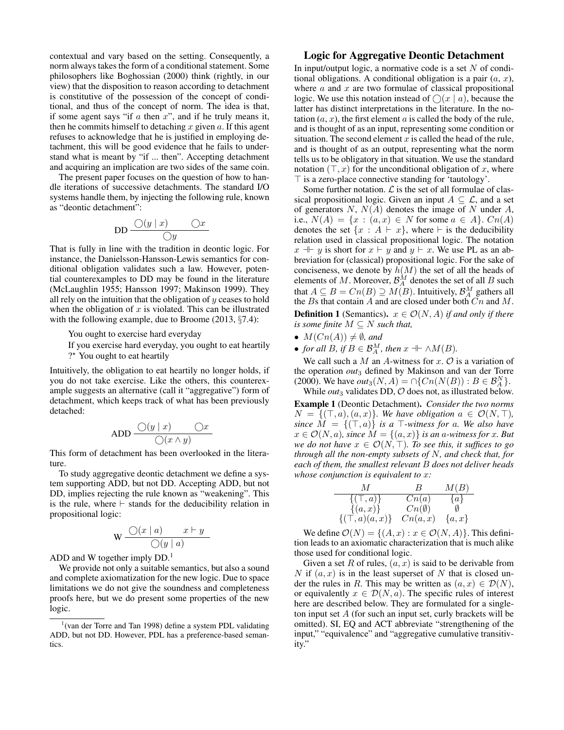contextual and vary based on the setting. Consequently, a norm always takes the form of a conditional statement. Some philosophers like Boghossian (2000) think (rightly, in our view) that the disposition to reason according to detachment is constitutive of the possession of the concept of conditional, and thus of the concept of norm. The idea is that, if some agent says "if  $a$  then  $x$ ", and if he truly means it, then he commits himself to detaching  $x$  given  $a$ . If this agent refuses to acknowledge that he is justified in employing detachment, this will be good evidence that he fails to understand what is meant by "if ... then". Accepting detachment and acquiring an implication are two sides of the same coin.

The present paper focuses on the question of how to handle iterations of successive detachments. The standard I/O systems handle them, by injecting the following rule, known as "deontic detachment":

$$
\text{DD} \frac{O(y \mid x) \qquad \bigcirc x}{\bigcirc y}
$$

That is fully in line with the tradition in deontic logic. For instance, the Danielsson-Hansson-Lewis semantics for conditional obligation validates such a law. However, potential counterexamples to DD may be found in the literature (McLaughlin 1955; Hansson 1997; Makinson 1999). They all rely on the intuition that the obligation of  $y$  ceases to hold when the obligation of  $x$  is violated. This can be illustrated with the following example, due to Broome (2013, §7.4):

You ought to exercise hard everyday

If you exercise hard everyday, you ought to eat heartily

?\* You ought to eat heartily

Intuitively, the obligation to eat heartily no longer holds, if you do not take exercise. Like the others, this counterexample suggests an alternative (call it "aggregative") form of detachment, which keeps track of what has been previously detached:

$$
\text{ADD} \frac{O(y \mid x) \qquad \bigcirc x}{O(x \land y)}
$$

This form of detachment has been overlooked in the literature.

To study aggregative deontic detachment we define a system supporting ADD, but not DD. Accepting ADD, but not DD, implies rejecting the rule known as "weakening". This is the rule, where  $\vdash$  stands for the deducibility relation in propositional logic:

$$
\mathbf{W} \frac{\bigcirc (x \mid a) \qquad x \vdash y}{\bigcirc (y \mid a)}
$$

ADD and W together imply  $DD<sup>1</sup>$ .

We provide not only a suitable semantics, but also a sound and complete axiomatization for the new logic. Due to space limitations we do not give the soundness and completeness proofs here, but we do present some properties of the new logic.

## Logic for Aggregative Deontic Detachment

In input/output logic, a normative code is a set  $N$  of conditional obligations. A conditional obligation is a pair  $(a, x)$ , where  $a$  and  $x$  are two formulae of classical propositional logic. We use this notation instead of  $\bigcirc (x \mid a)$ , because the latter has distinct interpretations in the literature. In the notation  $(a, x)$ , the first element a is called the body of the rule, and is thought of as an input, representing some condition or situation. The second element  $x$  is called the head of the rule. and is thought of as an output, representing what the norm tells us to be obligatory in that situation. We use the standard notation  $(\top, x)$  for the unconditional obligation of x, where  $\top$  is a zero-place connective standing for 'tautology'.

Some further notation.  $\mathcal L$  is the set of all formulae of classical propositional logic. Given an input  $A \subseteq \mathcal{L}$ , and a set of generators  $N$ ,  $N(A)$  denotes the image of N under A, i.e.,  $N(A) = \{x : (a, x) \in N \text{ for some } a \in A\}$ .  $Cn(A)$ denotes the set  $\{x : A \vdash x\}$ , where  $\vdash$  is the deducibility relation used in classical propositional logic. The notation  $x \parallel y$  is short for  $x \vdash y$  and  $y \vdash x$ . We use PL as an abbreviation for (classical) propositional logic. For the sake of conciseness, we denote by  $h(M)$  the set of all the heads of elements of M. Moreover,  $\mathcal{B}_{A}^{M}$  denotes the set of all B such that  $A \subseteq B = Cn(B) \supseteq M(B)$ . Intuitively,  $\mathcal{B}_{A}^{M}$  gathers all the  $B$ s that contain  $A$  and are closed under both  $Cn$  and  $M$ . **Definition 1** (Semantics).  $x \in \mathcal{O}(N, A)$  *if and only if there is some finite*  $M \subseteq N$  *such that,* 

- $M(Cn(A)) \neq \emptyset$ , and
- *for all*  $B$ *, if*  $B \in \mathcal{B}_{A}^{M}$ *, then*  $x \dashv \neg M(B)$ *.*

We call such a  $M$  an  $A$ -witness for  $x$ .  $\mathcal O$  is a variation of the operation *out*<sup>3</sup> defined by Makinson and van der Torre (2000). We have  $out_3(N, A) = \bigcap \{Cn(N(B)) : B \in \mathcal{B}_{A}^{N}\}.$ While  $out_3$  validates DD,  $O$  does not, as illustrated below.

Example 1 (Deontic Detachment). *Consider the two norms*  $N = \{(\top, a), (a, x)\}\$ . We have obligation  $a \in \mathcal{O}(N, \top)$ , *since*  $M = \{(\top, a)\}\$ is a  $\top$ -witness for a. We also have  $x \in \mathcal{O}(N, a)$ , since  $M = \{(a, x)\}\$ is an a-witness for x. But *we do not have*  $x \in \mathcal{O}(N, T)$ *. To see this, it suffices to go through all the non-empty subsets of* N*, and check that, for each of them, the smallest relevant* B *does not deliver heads whose conjunction is equivalent to* x*:*

| M                      | $B_{\perp}$        | M(B)         |
|------------------------|--------------------|--------------|
| $\{(\top,a)\}\$        | Cn(a)              | $\{a\}$      |
| $\{(a, x)\}\$          | $C_{n}(\emptyset)$ | <sub>0</sub> |
| $\{(\top, a)(a, x)\}\$ | Cn(a,x)            | $\{a,x\}$    |

We define  $\mathcal{O}(N) = \{(A, x) : x \in \mathcal{O}(N, A)\}\)$ . This definition leads to an axiomatic characterization that is much alike those used for conditional logic.

Given a set R of rules,  $(a, x)$  is said to be derivable from N if  $(a, x)$  is in the least superset of N that is closed under the rules in R. This may be written as  $(a, x) \in \mathcal{D}(N)$ , or equivalently  $x \in \mathcal{D}(N, a)$ . The specific rules of interest here are described below. They are formulated for a singleton input set  $A$  (for such an input set, curly brackets will be omitted). SI, EQ and ACT abbreviate "strengthening of the input," "equivalence" and "aggregative cumulative transitivity."

 $1$ (van der Torre and Tan 1998) define a system PDL validating ADD, but not DD. However, PDL has a preference-based semantics.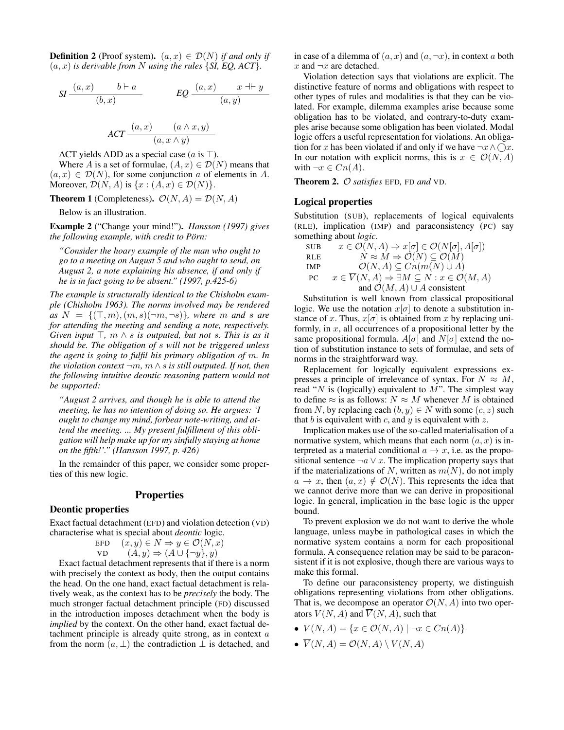**Definition 2** (Proof system).  $(a, x) \in \mathcal{D}(N)$  *if and only if*  $(a, x)$  *is derivable from* N *using the rules*  $\{SI, EQ, ACT\}.$ 

$$
SI \frac{(a,x)}{(b,x)} \qquad \qquad EQ \frac{(a,x)}{(a,y)} \qquad \qquad LQ \frac{(a,x)}{(a,y)}
$$

$$
ACT \frac{(a, x) \qquad (a \wedge x, y)}{(a, x \wedge y)}
$$

ACT yields ADD as a special case ( $a$  is  $\top$ ).

Where A is a set of formulae,  $(A, x) \in \mathcal{D}(N)$  means that  $(a, x) \in \mathcal{D}(N)$ , for some conjunction a of elements in A. Moreover,  $\mathcal{D}(N, A)$  is  $\{x : (A, x) \in \mathcal{D}(N)\}.$ 

**Theorem 1** (Completeness).  $\mathcal{O}(N, A) = \mathcal{D}(N, A)$ 

Below is an illustration.

Example 2 ("Change your mind!"). *Hansson (1997) gives the following example, with credit to Pörn:* 

*"Consider the hoary example of the man who ought to go to a meeting on August 5 and who ought to send, on August 2, a note explaining his absence, if and only if he is in fact going to be absent." (1997, p.425-6)*

*The example is structurally identical to the Chisholm example (Chisholm 1963). The norms involved may be rendered*  $as N = \{(\top, m), (m, s) \, (\neg m, \neg s)\}$ *, where* m *and s are for attending the meeting and sending a note, respectively. Given input*  $\top$ *, m*  $\land$  *s is outputed, but not s. This is as it should be. The obligation of* s *will not be triggered unless the agent is going to fulfil his primary obligation of* m*. In the violation context*  $\neg m$ *, m*  $\land$  *s is still outputed. If not, then the following intuitive deontic reasoning pattern would not be supported:*

*"August 2 arrives, and though he is able to attend the meeting, he has no intention of doing so. He argues: 'I ought to change my mind, forbear note-writing, and attend the meeting. ... My present fulfillment of this obligation will help make up for my sinfully staying at home on the fifth!'." (Hansson 1997, p. 426)*

In the remainder of this paper, we consider some properties of this new logic.

#### **Properties**

## Deontic properties

Exact factual detachment (EFD) and violation detection (VD) characterise what is special about *deontic* logic.

$$
\begin{array}{ll}\n\text{EFD} & (x, y) \in N \Rightarrow y \in \mathcal{O}(N, x) \\
\text{VD} & (A, y) \Rightarrow (A \cup \{\neg y\}, y)\n\end{array}
$$

Exact factual detachment represents that if there is a norm with precisely the context as body, then the output contains the head. On the one hand, exact factual detachment is relatively weak, as the context has to be *precisely* the body. The much stronger factual detachment principle (FD) discussed in the introduction imposes detachment when the body is *implied* by the context. On the other hand, exact factual detachment principle is already quite strong, as in context  $a$ from the norm  $(a, \perp)$  the contradiction  $\perp$  is detached, and

in case of a dilemma of  $(a, x)$  and  $(a, \neg x)$ , in context a both  $x$  and  $\neg x$  are detached.

Violation detection says that violations are explicit. The distinctive feature of norms and obligations with respect to other types of rules and modalities is that they can be violated. For example, dilemma examples arise because some obligation has to be violated, and contrary-to-duty examples arise because some obligation has been violated. Modal logic offers a useful representation for violations. An obligation for x has been violated if and only if we have  $\neg x \land \bigcirc x$ . In our notation with explicit norms, this is  $x \in \mathcal{O}(N, A)$ with  $\neg x \in Cn(A)$ .

Theorem 2. O *satisfies* EFD*,* FD *and* VD*.*

## Logical properties

Substitution (SUB), replacements of logical equivalents (RLE), implication (IMP) and paraconsistency (PC) say something about *logic*.

SUB  $x \in \mathcal{O}(N, A) \Rightarrow x[\sigma] \in \mathcal{O}(N[\sigma], A[\sigma])$ RLE  $\dot{N} \approx \dot{M} \Rightarrow \dot{\mathcal{O}}(\dot{N}) \subseteq \dot{\mathcal{O}}(\dot{M})$ IMP  $\mathcal{O}(N, A) \subseteq Cn(m(N) \cup A)$ PC  $x \in \overline{V}(N, A) \Rightarrow \exists M \subseteq N : x \in \mathcal{O}(M, A)$ and  $\mathcal{O}(M, A) \cup A$  consistent

Substitution is well known from classical propositional logic. We use the notation  $x[\sigma]$  to denote a substitution instance of x. Thus,  $x[\sigma]$  is obtained from x by replacing uniformly, in  $x$ , all occurrences of a propositional letter by the same propositional formula.  $A[\sigma]$  and  $N[\sigma]$  extend the notion of substitution instance to sets of formulae, and sets of norms in the straightforward way.

Replacement for logically equivalent expressions expresses a principle of irrelevance of syntax. For  $N \approx M$ , read "N is (logically) equivalent to  $\overline{M}$ ". The simplest way to define  $\approx$  is as follows:  $N \approx M$  whenever M is obtained from N, by replacing each  $(b, y) \in N$  with some  $(c, z)$  such that b is equivalent with c, and y is equivalent with z.

Implication makes use of the so-called materialisation of a normative system, which means that each norm  $(a, x)$  is interpreted as a material conditional  $a \rightarrow x$ , i.e. as the propositional sentence  $\neg a \lor x$ . The implication property says that if the materializations of N, written as  $m(N)$ , do not imply  $a \to x$ , then  $(a, x) \notin \mathcal{O}(N)$ . This represents the idea that we cannot derive more than we can derive in propositional logic. In general, implication in the base logic is the upper bound.

To prevent explosion we do not want to derive the whole language, unless maybe in pathological cases in which the normative system contains a norm for each propositional formula. A consequence relation may be said to be paraconsistent if it is not explosive, though there are various ways to make this formal.

To define our paraconsistency property, we distinguish obligations representing violations from other obligations. That is, we decompose an operator  $\mathcal{O}(N, A)$  into two operators  $V(N, A)$  and  $\overline{V}(N, A)$ , such that

- $V(N, A) = \{x \in \mathcal{O}(N, A) \mid \neg x \in C_n(A)\}\$
- $\overline{V}(N, A) = \mathcal{O}(N, A) \setminus V(N, A)$